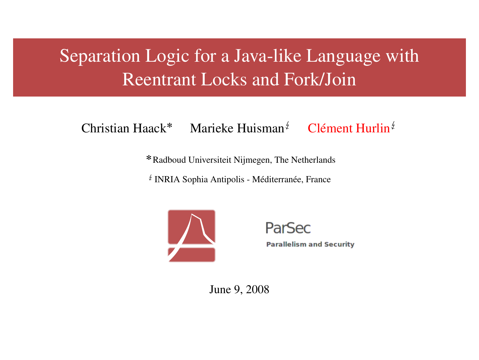# Separation Logic for a Java-like Language with Reentrant Locks and Fork/Join

Christian Haack\* Marieke Huisman<sup> $\sharp$ </sup> Clément Hurlin<sup> $\sharp$ </sup>

Radboud Universiteit Nijmegen, The Netherlands

 $*$  INRIA Sophia Antipolis - Méditerranée, France



ParSec

**Parallelism and Security** 

June 9, 2008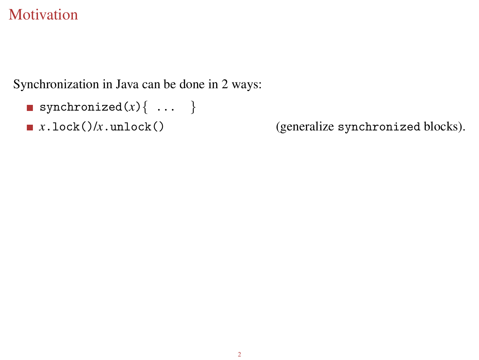## **[Motivation](#page-1-0)**

Synchronization in Java can be done in 2 ways:

```
synchronized(x)\{ \ldots \}
```
<span id="page-1-0"></span>

 $x \cdot \text{lock}($ / $x \cdot \text{unlock}($ ) (generalize synchronized blocks).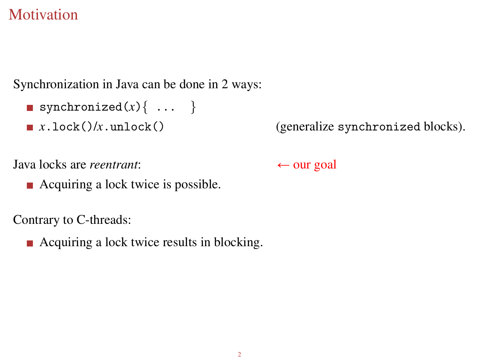## **[Motivation](#page-1-0)**

Synchronization in Java can be done in 2 ways:

```
synchronized(x)\{ \ldots \}
```
 $x \cdot \text{lock}($  $)/x \cdot \text{unlock}($  (generalize synchronized blocks).

Java locks are *reentrant*:  $\leftarrow$  our goal

■ Acquiring a lock twice is possible.

Contrary to C-threads:

■ Acquiring a lock twice results in blocking.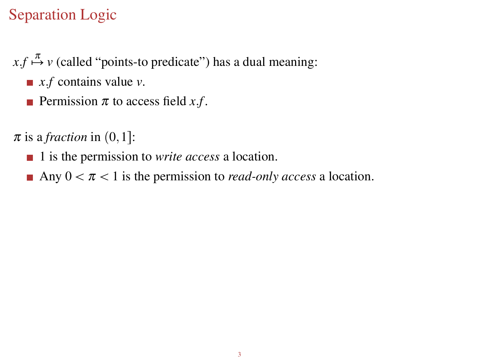## [Separation Logic](#page-3-0)

- $x.f \stackrel{\pi}{\mapsto} v$  (called "points-to predicate") has a dual meaning:
	- $\blacksquare$  *x*.*f* contains value *v*.
	- **Permission**  $\pi$  to access field  $x.f$ .
- <span id="page-3-0"></span> $\pi$  is a *fraction* in  $(0,1]$ :
	- 1 is the permission to *write access* a location.
	- Any  $0 < \pi < 1$  is the permission to *read-only access* a location.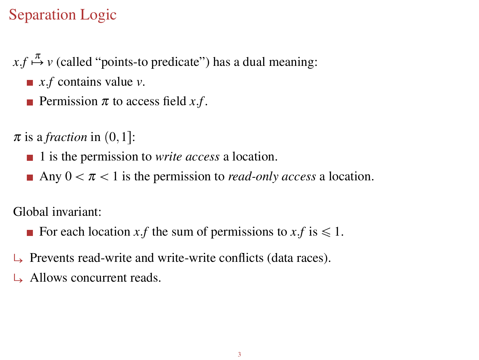## [Separation Logic](#page-3-0)

- $x.f \stackrel{\pi}{\mapsto} v$  (called "points-to predicate") has a dual meaning:
	- *x.f* contains value *v*.
	- **Permission**  $\pi$  to access field  $x.f$ .

 $\pi$  is a *fraction* in  $(0,1]$ :

- 1 is the permission to *write access* a location.
- Any  $0 < \pi < 1$  is the permission to *read-only access* a location.

Global invariant:

- For each location *x*.*f* the sum of permissions to *x*.*f* is  $\leq 1$ .
- Prevents read-write and write-write conflicts (data races).
- $\rightarrow$  Allows concurrent reads.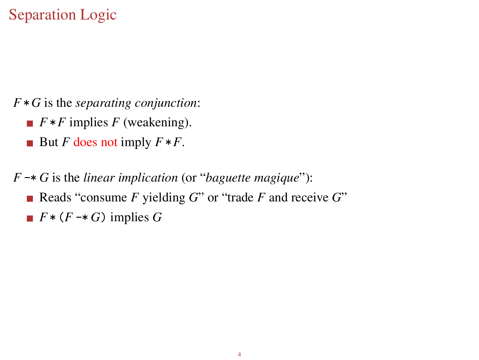## [Separation Logic](#page-3-0)

*F*\**G* is the *separating conjunction*:

- $\blacksquare$   $F * F$  implies  $F$  (weakening).
- But *F* does not imply  $F * F$ .
- *F* -\* *G* is the *linear implication* (or "*baguette magique*"):
	- Reads "consume *F* yielding *G*" or "trade *F* and receive *G*"
	- $\blacksquare$   $F*(F \rightarrow G)$  implies *G*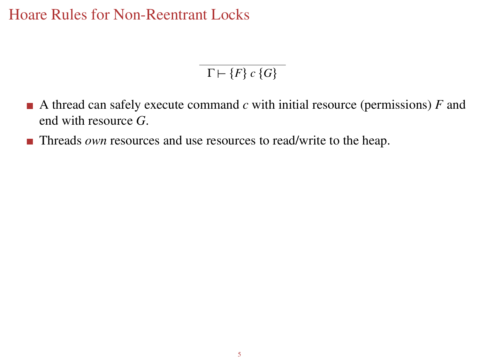[Hoare Rules for Non-Reentrant Locks](#page-6-0)

<span id="page-6-0"></span> $\Gamma \vdash \{F\} \ c \ \{G\}$ 

- A thread can safely execute command  $c$  with initial resource (permissions)  $F$  and end with resource *G*.
- **Threads** *own* resources and use resources to read/write to the heap.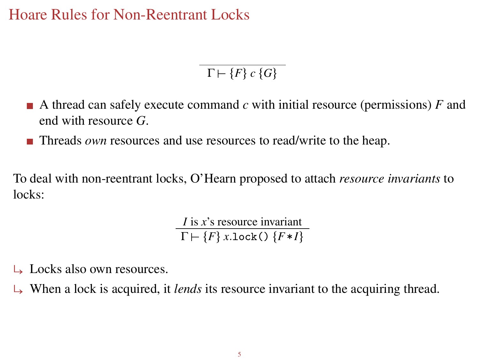[Hoare Rules for Non-Reentrant Locks](#page-6-0)

 $\Gamma \vdash \{F\} \ c \ \{G\}$ 

- A thread can safely execute command *c* with initial resource (permissions) *F* and end with resource *G*.
- Threads *own* resources and use resources to read/write to the heap.

To deal with non-reentrant locks, O'Hearn proposed to attach *resource invariants* to locks:

> *I* is *x*'s resource invariant  $\Gamma \vdash \{F\} \text{ x.lock}$ ()  $\{F * I\}$

- Locks also own resources.
- When a lock is acquired, it *lends* its resource invariant to the acquiring thread.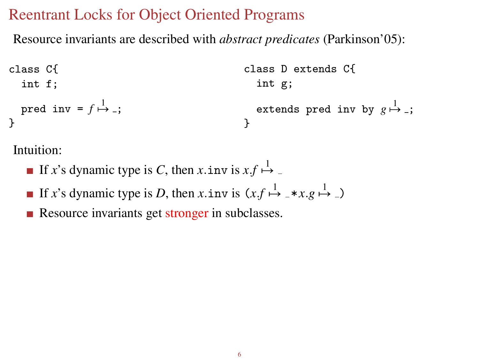#### [Reentrant Locks for Object Oriented Programs](#page-8-0)

Resource invariants are described with *abstract predicates* (Parkinson'05):

class C{ class D extends C{   
int f;   
pred inv = 
$$
f \xrightarrow{1}
$$
 -;   
 }  
  $f$  =  $f \xrightarrow{1}$  -;   
  $f$  =  $f \xrightarrow{1}$  -;   
  $f$  =  $f \xrightarrow{1}$  -;   
  $f$  =  $f \xrightarrow{1}$  -;

Intuition:

- If *x*'s dynamic type is *C*, then *x*.inv is  $xf \stackrel{1}{\mapsto}$
- If *x*'s dynamic type is *D*, then *x*.inv is  $(x.f \overset{1}{\mapsto} _{-} * x.g \overset{1}{\mapsto} _{-})$
- <span id="page-8-0"></span>Resource invariants get stronger in subclasses.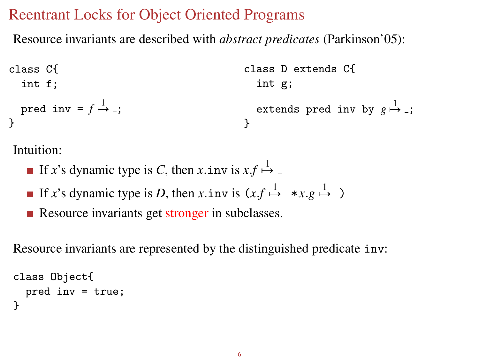#### [Reentrant Locks for Object Oriented Programs](#page-8-0)

Resource invariants are described with *abstract predicates* (Parkinson'05):

class C{ class D extends C{   
int f;   
pred inv = 
$$
f \xrightarrow{1}
$$
 -;   
 }  
  $f$ 

Intuition:

- If *x*'s dynamic type is *C*, then *x*.inv is  $xf \stackrel{1}{\mapsto}$
- If *x*'s dynamic type is *D*, then *x*.inv is  $(x.f \overset{1}{\mapsto} _{-} * x.g \overset{1}{\mapsto} _{-})$
- Resource invariants get stronger in subclasses.

Resource invariants are represented by the distinguished predicate inv:

```
class Object{
  pred inv = true;
}
```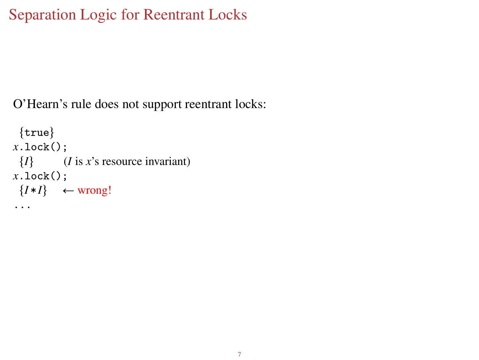## [Separation Logic for Reentrant Locks](#page-10-0)

O'Hearn's rule does not support reentrant locks:

```
\{true\}x.lock();
 \{I\} (I is x's resource invariant)
x.lock();
\{I * I\} \leftarrow wrong!
...
```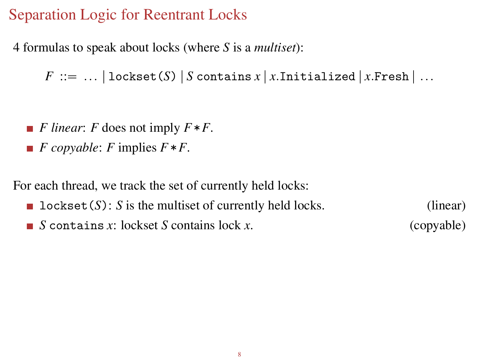#### [Separation Logic for Reentrant Locks](#page-10-0)

4 formulas to speak about locks (where *S* is a *multiset*):

 $F ::= ... |$  lockset(*S*) | *S* contains  $x | x$ . Initialized |  $x$ . Fresh | ...

- *F linear*: *F* does not imply *F*\**F*.
- $\blacksquare$  *F* copyable: *F* implies  $F * F$ .

For each thread, we track the set of currently held locks:

**l** lockset  $(S)$ : *S* is the multiset of currently held locks. (linear) *S* contains *x*: lockset *S* contains lock *x*. (copyable)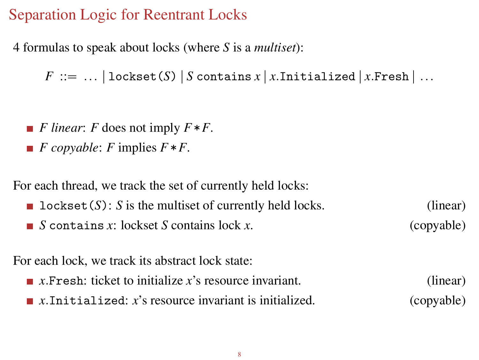#### [Separation Logic for Reentrant Locks](#page-10-0)

4 formulas to speak about locks (where *S* is a *multiset*):

 $F ::= ... |$  lockset(*S*) | *S* contains  $x | x$ . Initialized |  $x$ . Fresh | ...

- *F linear*: *F* does not imply *F*\**F*.
- $\blacksquare$  *F* copyable: *F* implies  $F * F$ .

For each thread, we track the set of currently held locks:

**l** lockset  $(S)$ : *S* is the multiset of currently held locks. (linear) *S* contains *x*: lockset *S* contains lock *x*. (copyable)

For each lock, we track its abstract lock state:

- $\blacksquare$  *x*. Fresh: ticket to initialize *x*'s resource invariant. (linear)
- *x*.Initialized: *x*'s resource invariant is initialized. (copyable)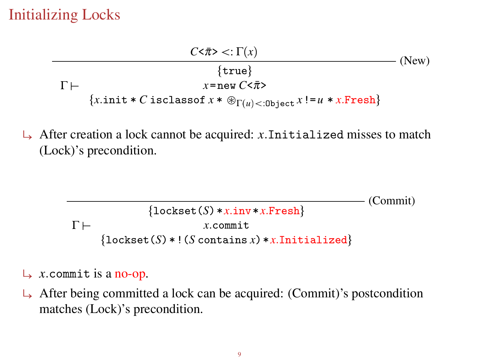## [Initializing Locks](#page-13-0)



 $\rightarrow$  After creation a lock cannot be acquired: *x*.Initialized misses to match (Lock)'s precondition.

> <span id="page-13-0"></span>(Commit)  $\Gamma \vdash$  $\{$ lockset $(S) * x.inv * x.Fresh\}$ *x*.commit  ${lockset(S) * ! (S contains x) * x. Initialized}$

- $\rightarrow$  *x*.commit is a no-op.
- $\rightarrow$  After being committed a lock can be acquired: (Commit)'s postcondition matches (Lock)'s precondition.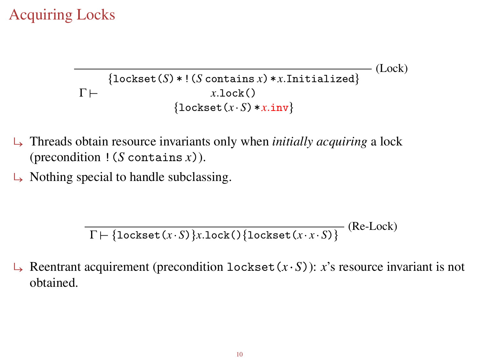## [Acquiring Locks](#page-14-0)

(Lock)  $\Gamma \vdash$  ${lockset(S) * ! (S contains x) * x. Initialized}$ *x*.lock()  $\{$ lockset $(x, S) * x$ .inv

- ë Threads obtain resource invariants only when *initially acquiring* a lock (precondition !(*S* contains *x*)).
- Nothing special to handle subclassing.

<span id="page-14-0"></span>(Re-Lock)  $\Gamma$   $\left\{\text{lockset}(x \mid S) \right\}$ *x*.lock() {lockset(*x x S*)}

Reentrant acquirement (precondition lockset  $(x, S)$ ):  $x$ 's resource invariant is not obtained.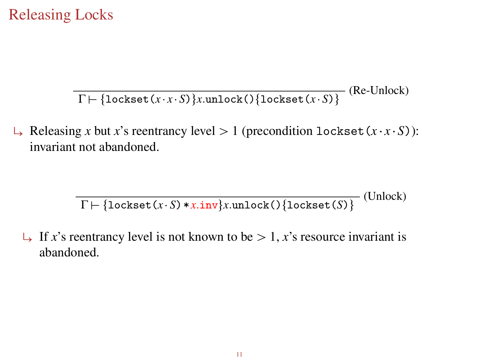### [Releasing Locks](#page-15-0)

 $\Gamma \vdash \{\texttt{lockset}(x \cdot x \cdot S)\}$ x.unlock() $\{\texttt{lockset}(x \cdot S)\}$  (Re-Unlock)

 $\mapsto$  Releasing *x* but *x*'s reentrancy level  $> 1$  (precondition lockset (*x x S*)): invariant not abandoned.

> <span id="page-15-0"></span>(Unlock)  $\Gamma \vdash \{\text{lockset}(x \mid S) * x.\text{inv}\}x.\text{unlock}() \{\text{lockset}(S)\}$

 $\perp$  If *x*'s reentrancy level is not known to be > 1, *x*'s resource invariant is abandoned.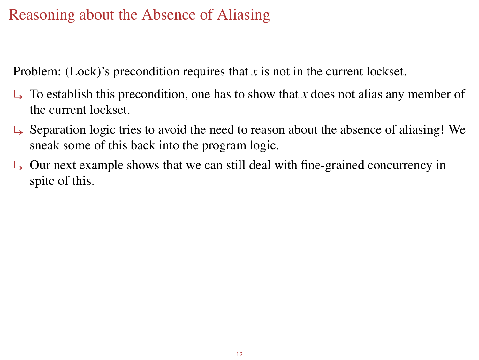## [Reasoning about the Absence of Aliasing](#page-16-0)

Problem: (Lock)'s precondition requires that *x* is not in the current lockset.

- $\rightarrow$  To establish this precondition, one has to show that *x* does not alias any member of the current lockset.
- $\rightarrow$  Separation logic tries to avoid the need to reason about the absence of aliasing! We sneak some of this back into the program logic.
- <span id="page-16-0"></span>ë Our next example shows that we can still deal with fine-grained concurrency in spite of this.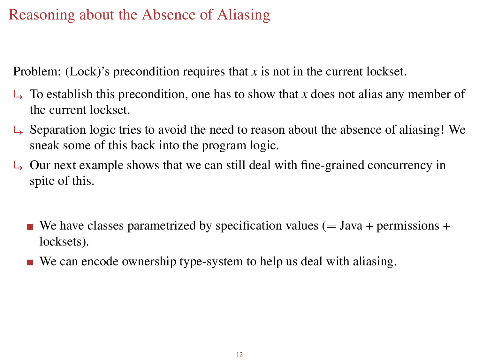## [Reasoning about the Absence of Aliasing](#page-16-0)

Problem: (Lock)'s precondition requires that *x* is not in the current lockset.

- $\rightarrow$  To establish this precondition, one has to show that *x* does not alias any member of the current lockset.
- $\rightarrow$  Separation logic tries to avoid the need to reason about the absence of aliasing! We sneak some of this back into the program logic.
- $\rightarrow$  Our next example shows that we can still deal with fine-grained concurrency in spite of this.
	- We have classes parametrized by specification values ( $=$  Java + permissions + locksets).
	- We can encode ownership type-system to help us deal with aliasing.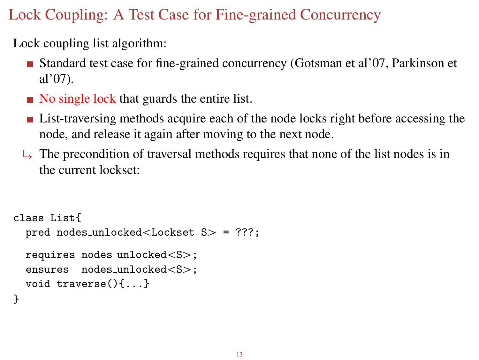## [Lock Coupling: A Test Case for Fine-grained Concurrency](#page-18-0)

Lock coupling list algorithm:

- Standard test case for fine-grained concurrency (Gotsman et al'07, Parkinson et al'07).
- No single lock that guards the entire list.
- **List-traversing methods acquire each of the node locks right before accessing the** node, and release it again after moving to the next node.
- $\Box$  The precondition of traversal methods requires that none of the list nodes is in the current lockset:

```
class List{
  pred nodes_unlocked<Lockset S> = ???;
 requires nodes_unlocked<S>;
 ensures nodes_unlocked<S>;
 void traverse(){...}
}
```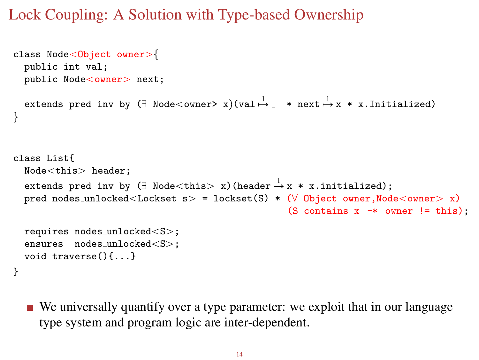### [Lock Coupling: A Solution with Type-based Ownership](#page-19-0)

```
class Node<Object owner>{
  public int val;
  public Node<owner> next;
  extends pred inv by (\exists Node<owner> x)(val\stackrel{1}{\mapsto} \_ * next\stackrel{1}{\mapsto} x * x.Initialized)
}
class List{
  Node<this> header:
  extends pred inv by (\exists Node<this> x)(header\stackrel{1}{\mapsto}x * x.initialized);
  pred nodes_unlocked<Lockset s> = lockset(S) * (\forall Object owner,Node<owner> x)
                                                          (S contains x \rightarrow owner != this);
  requires nodes_unlocked<S>;
  ensures nodes_unlocked<S>:
  void traverse(){...}
}
```
<span id="page-19-0"></span>We universally quantify over a type parameter: we exploit that in our language type system and program logic are inter-dependent.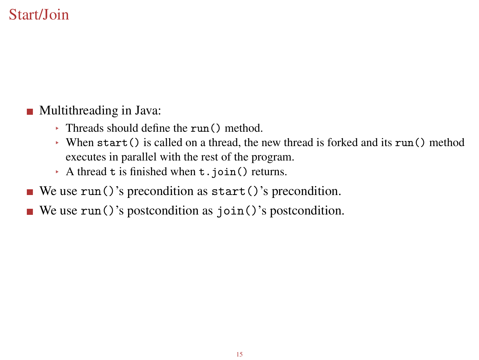## [Start/Join](#page-20-0)

#### **Multithreading in Java:**

- Threads should define the run() method.
- When start() is called on a thread, the new thread is forked and its run() method executes in parallel with the rest of the program.
- <span id="page-20-0"></span>A thread t is finished when t.join() returns.
- We use  $run()$ 's precondition as start()'s precondition.
- We use run()'s postcondition as  $\overline{\text{join}}$  ()'s postcondition.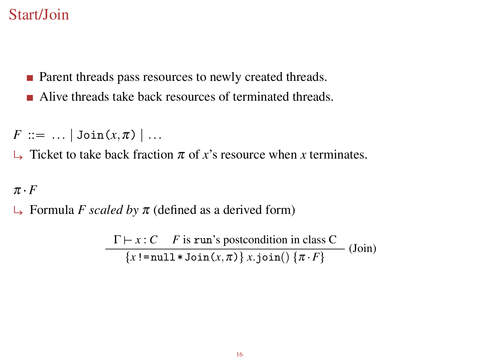#### [Start/Join](#page-20-0)

- **Parent threads pass resources to newly created threads.**
- Alive threads take back resources of terminated threads.

*F* ::= ... |  $\text{Join}(x, \pi)$  | ...

 $\Box$  Ticket to take back fraction  $\pi$  of *x*'s resource when *x* terminates.

#### $\pi \cdot F$

 $\Box$  Formula *F scaled by*  $\pi$  (defined as a derived form)

$$
\frac{\Gamma \vdash x : C \quad F \text{ is run's postcondition in class } C}{\{x != \text{null} * \text{Join}(x, \pi)\} \, x \, \text{join}(\} \, \{\pi \cdot F\}} \, \text{(Join)}
$$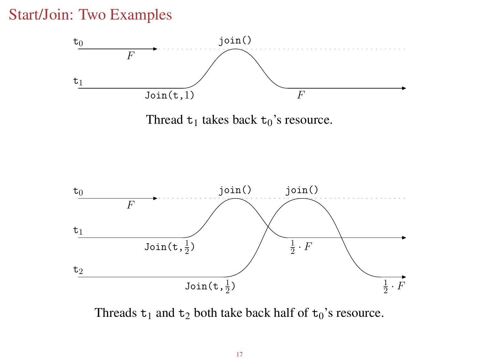#### [Start/Join: Two Examples](#page-22-0)



Thread  $t_1$  takes back  $t_0$ 's resource.



<span id="page-22-0"></span>Threads  $t_1$  and  $t_2$  both take back half of  $t_0$ 's resource.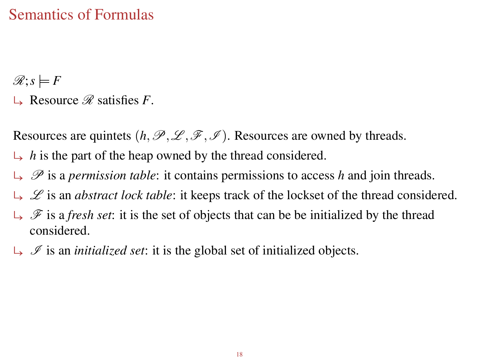### [Semantics of Formulas](#page-23-0)

 $\mathscr{R}; s \models F$ 

 $\Box$  Resource  $\mathscr R$  satisfies *F*.

Resources are quintets  $(h, \mathcal{P}, \mathcal{L}, \mathcal{F}, \mathcal{I})$ . Resources are owned by threads.

- $\rightarrow$  *h* is the part of the heap owned by the thread considered.
- $\Box$   $\mathscr P$  is a *permission table*: it contains permissions to access *h* and join threads.
- $\Box \Box$  is an *abstract lock table*: it keeps track of the lockset of the thread considered.
- $\Box$  F is a *fresh set*: it is the set of objects that can be be initialized by the thread considered.
- <span id="page-23-0"></span> $\Box$  Is an *initialized set*: it is the global set of initialized objects.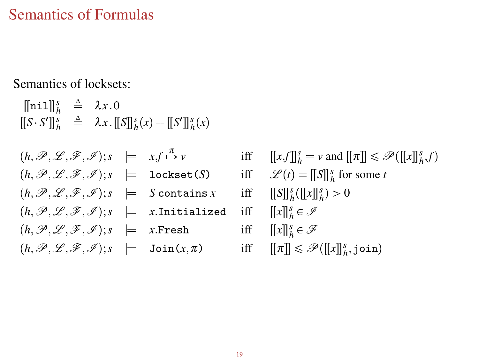#### [Semantics of Formulas](#page-23-0)

Semantics of locksets:

 $[[\texttt{nil}]]_h^s \triangleq \lambda x.0$  $[[S \cdot S']]_h^s \stackrel{\Delta}{=} \lambda x \cdot [[S]]_h^s(x) + [[S']]_h^s(x)$ 

 $(h, \mathscr{P}, \mathscr{L}, \mathscr{F}, \mathscr{I}); s \models x.f \stackrel{\pi}{\vdash}$  $\lim_{n \to \infty} v$  iff  $[[x.f]]_h^s = v$  and  $[[\pi]] \leq \mathcal{P}([x][_h^s, f)$  $(h, \mathcal{P}, \mathcal{L}, \mathcal{F}, \mathcal{I})$ ;*s*  $\models$  lockset(*S*) iff  $\mathcal{L}(t) = [\![S]\!]_h^s$  for some *t*  $(h, \mathscr{P}, \mathscr{L}, \mathscr{F}, \mathscr{I}); s \models S$  contains *x* iff  $\frac{s}{h}([x]]_h^s$  > 0  $(h, \mathscr{P}, \mathscr{L}, \mathscr{F}, \mathscr{I});$ <sup>*s*</sup>  $\models$  *x*.Initialized  $\frac{s}{h} \in \mathscr{I}$  $(h, \mathscr{P}, \mathscr{L}, \mathscr{F}, \mathscr{I});$ *s*  $\models$  *x*.Fresh  $\frac{s}{h} \in \mathscr{F}$  $p(\mathbf{h},\mathcal{P},\mathcal{L},\mathcal{F},\mathcal{I});$ *s*  $\models$  Join $(x,\pi)$  iff  $[\![\pi]\!] \leq \mathcal{P}([\![x]\!]_h^s$ , join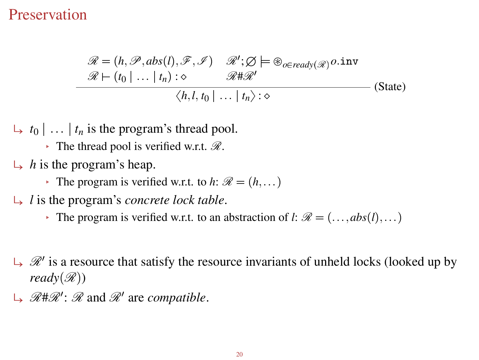#### [Preservation](#page-25-0)

$$
\mathcal{R} = (h, \mathcal{P}, abs(l), \mathcal{F}, \mathcal{I}) \quad \mathcal{R}'; \mathcal{Q} \models \oplus_{o \in ready(\mathcal{R})} o.\text{inv}
$$
  

$$
\mathcal{R} \vdash (t_0 \mid \dots \mid t_n) : \diamond \qquad \mathcal{R} \sharp \mathcal{R}'
$$
  

$$
\langle h, l, t_0 \mid \dots \mid t_n \rangle : \diamond
$$
 (State)

 $\leftarrow t_0 | \dots | t_n$  is the program's thread pool.

The thread pool is verified w.r.t.  $\mathcal{R}$ .

- $\mapsto h$  is the program's heap.
	- The program is verified w.r.t. to  $h: \mathcal{R} = (h, \dots)$
- $\rightarrow$  *l* is the program's *concrete lock table*.
	- The program is verified w.r.t. to an abstraction of *l*:  $\mathcal{R} = (\dots, abs(l), \dots)$
- $\mathcal{R}'$  is a resource that satisfy the resource invariants of unheld locks (looked up by *ready* $(\mathcal{R})$
- <span id="page-25-0"></span> $\rightarrow \mathcal{R} \# \mathcal{R}' : \mathcal{R}$  and  $\mathcal{R}'$  are *compatible*.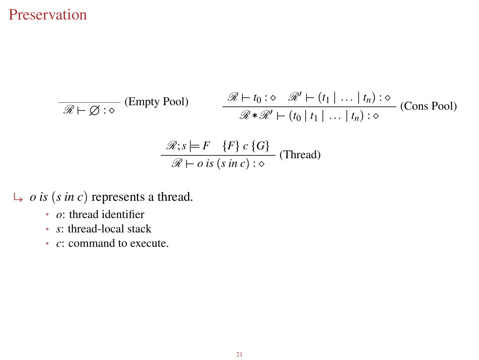#### [Preservation](#page-25-0)

$$
\frac{\mathcal{R} \vdash t_0 : \diamond \quad \mathcal{R}' \vdash (t_1 \mid \dots \mid t_n) : \diamond}{\mathcal{R} * \mathcal{R}' \vdash (t_0 \mid t_1 \mid \dots \mid t_n) : \diamond} \quad \text{(Cons Pool)}
$$
\n
$$
\frac{\mathcal{R} : s \models F \quad \{F\} \, c \, \{G\}}{\mathcal{R} \vdash o \, \text{is} \, (s \, \text{in} \, c) : \diamond} \quad \text{(Thread)}
$$

- $\mapsto$  *o is* (*s in c*) represents a thread.
	- *o*: thread identifier
	- *s*: thread-local stack
	- *c*: command to execute.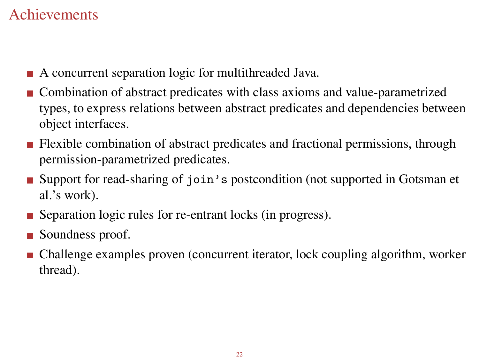## [Achievements](#page-27-0)

- A concurrent separation logic for multithreaded Java.
- Combination of abstract predicates with class axioms and value-parametrized types, to express relations between abstract predicates and dependencies between object interfaces.
- **Flexible combination of abstract predicates and fractional permissions, through** permission-parametrized predicates.
- Support for read-sharing of join's postcondition (not supported in Gotsman et al.'s work).
- Separation logic rules for re-entrant locks (in progress).
- Soundness proof.
- <span id="page-27-0"></span>Challenge examples proven (concurrent iterator, lock coupling algorithm, worker thread).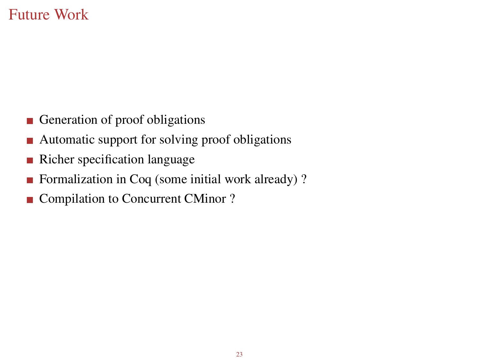### [Future Work](#page-28-0)

- Generation of proof obligations
- Automatic support for solving proof obligations
- Richer specification language
- Formalization in Coq (some initial work already)?
- <span id="page-28-0"></span>■ Compilation to Concurrent CMinor ?